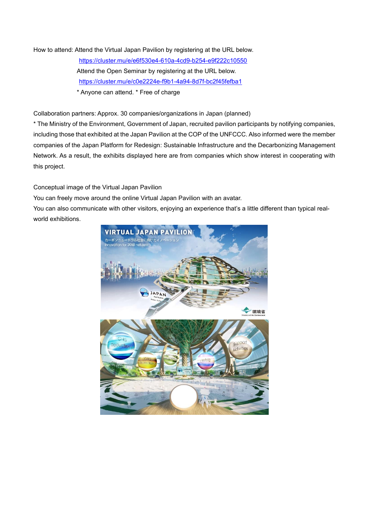How to attend: Attend the Virtual Japan Pavilion by registering at the URL below. <https://cluster.mu/e/e6f530e4-610a-4cd9-b254-e9f222c10550> Attend the Open Seminar by registering at the URL below. <https://cluster.mu/e/c0e2224e-f9b1-4a94-8d7f-bc2f45fefba1> \* Anyone can attend. \* Free of charge

Collaboration partners: Approx. 30 companies/organizations in Japan (planned)

\* The Ministry of the Environment, Government of Japan, recruited pavilion participants by notifying companies, including those that exhibited at the Japan Pavilion at the COP of the UNFCCC. Also informed were the member companies of the Japan Platform for Redesign: Sustainable Infrastructure and the Decarbonizing Management Network. As a result, the exhibits displayed here are from companies which show interest in cooperating with this project.

Conceptual image of the Virtual Japan Pavilion

You can freely move around the online Virtual Japan Pavilion with an avatar.

You can also communicate with other visitors, enjoying an experience that's a little different than typical realworld exhibitions.